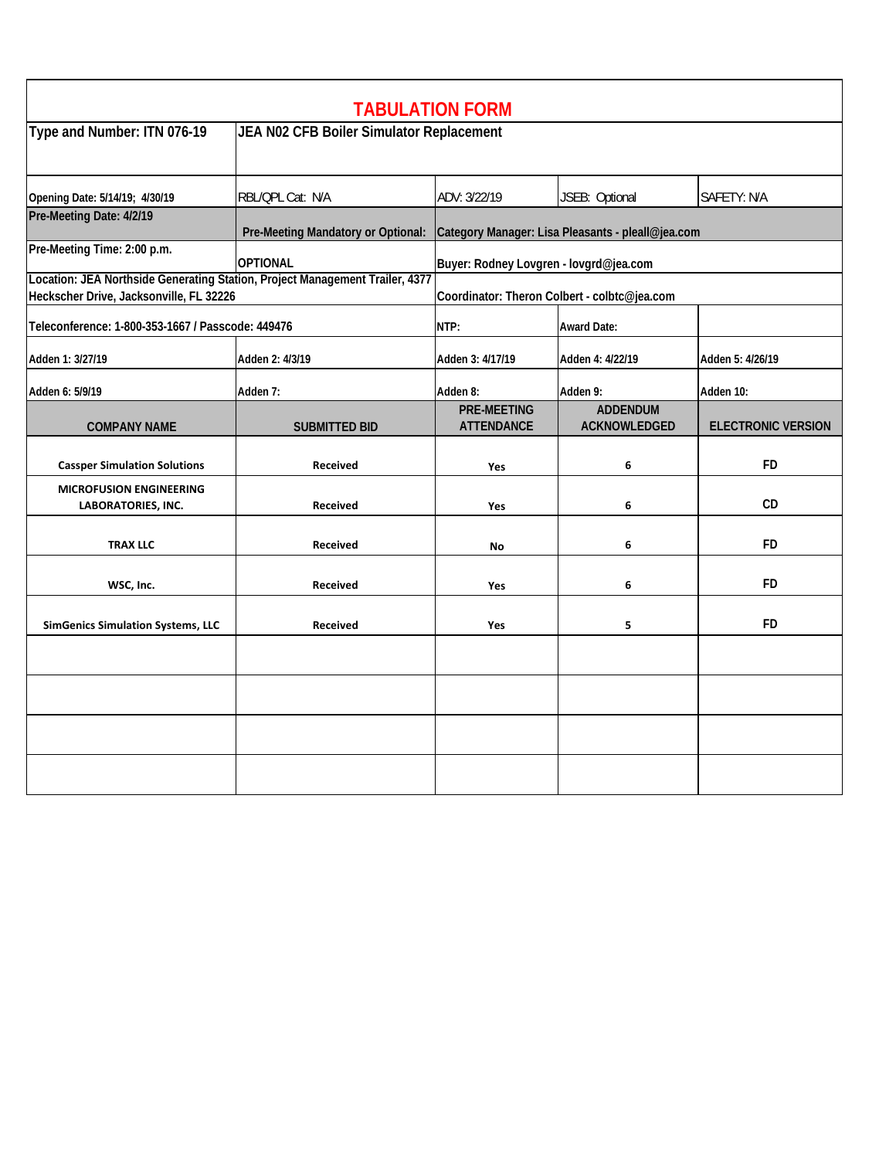|                                                                                                                         |                                          | <b>TABULATION FORM</b>                       |                                                   |                           |  |
|-------------------------------------------------------------------------------------------------------------------------|------------------------------------------|----------------------------------------------|---------------------------------------------------|---------------------------|--|
| Type and Number: ITN 076-19                                                                                             | JEA N02 CFB Boiler Simulator Replacement |                                              |                                                   |                           |  |
| Opening Date: 5/14/19; 4/30/19                                                                                          | RBL/QPL Cat: N/A                         | ADV: 3/22/19                                 | JSEB: Optional                                    | SAFETY: N/A               |  |
| Pre-Meeting Date: 4/2/19                                                                                                | Pre-Meeting Mandatory or Optional:       |                                              | Category Manager: Lisa Pleasants - pleall@jea.com |                           |  |
| Pre-Meeting Time: 2:00 p.m.                                                                                             | <b>OPTIONAL</b>                          | Buyer: Rodney Lovgren - lovgrd@jea.com       |                                                   |                           |  |
| Location: JEA Northside Generating Station, Project Management Trailer, 4377<br>Heckscher Drive, Jacksonville, FL 32226 |                                          | Coordinator: Theron Colbert - colbtc@jea.com |                                                   |                           |  |
| Teleconference: 1-800-353-1667 / Passcode: 449476                                                                       | NTP:<br><b>Award Date:</b>               |                                              |                                                   |                           |  |
| Adden 1: 3/27/19                                                                                                        | Adden 2: 4/3/19                          | Adden 3: 4/17/19                             | Adden 4: 4/22/19                                  | Adden 5: 4/26/19          |  |
| Adden 6: 5/9/19                                                                                                         | Adden 7:                                 | Adden 8:                                     | Adden 9:                                          | Adden 10:                 |  |
| <b>COMPANY NAME</b>                                                                                                     | <b>SUBMITTED BID</b>                     | <b>PRE-MEETING</b><br><b>ATTENDANCE</b>      | <b>ADDENDUM</b><br><b>ACKNOWLEDGED</b>            | <b>ELECTRONIC VERSION</b> |  |
| <b>Cassper Simulation Solutions</b>                                                                                     | <b>Received</b>                          | Yes                                          | 6                                                 | <b>FD</b>                 |  |
| <b>MICROFUSION ENGINEERING</b><br><b>LABORATORIES, INC.</b>                                                             | <b>Received</b>                          | Yes                                          | 6                                                 | CD                        |  |
| <b>TRAX LLC</b>                                                                                                         | <b>Received</b>                          | No                                           | 6                                                 | <b>FD</b>                 |  |
| WSC, Inc.                                                                                                               | <b>Received</b>                          | Yes                                          | 6                                                 | <b>FD</b>                 |  |
| <b>SimGenics Simulation Systems, LLC</b>                                                                                | <b>Received</b>                          | Yes                                          | 5                                                 | <b>FD</b>                 |  |
|                                                                                                                         |                                          |                                              |                                                   |                           |  |
|                                                                                                                         |                                          |                                              |                                                   |                           |  |
|                                                                                                                         |                                          |                                              |                                                   |                           |  |
|                                                                                                                         |                                          |                                              |                                                   |                           |  |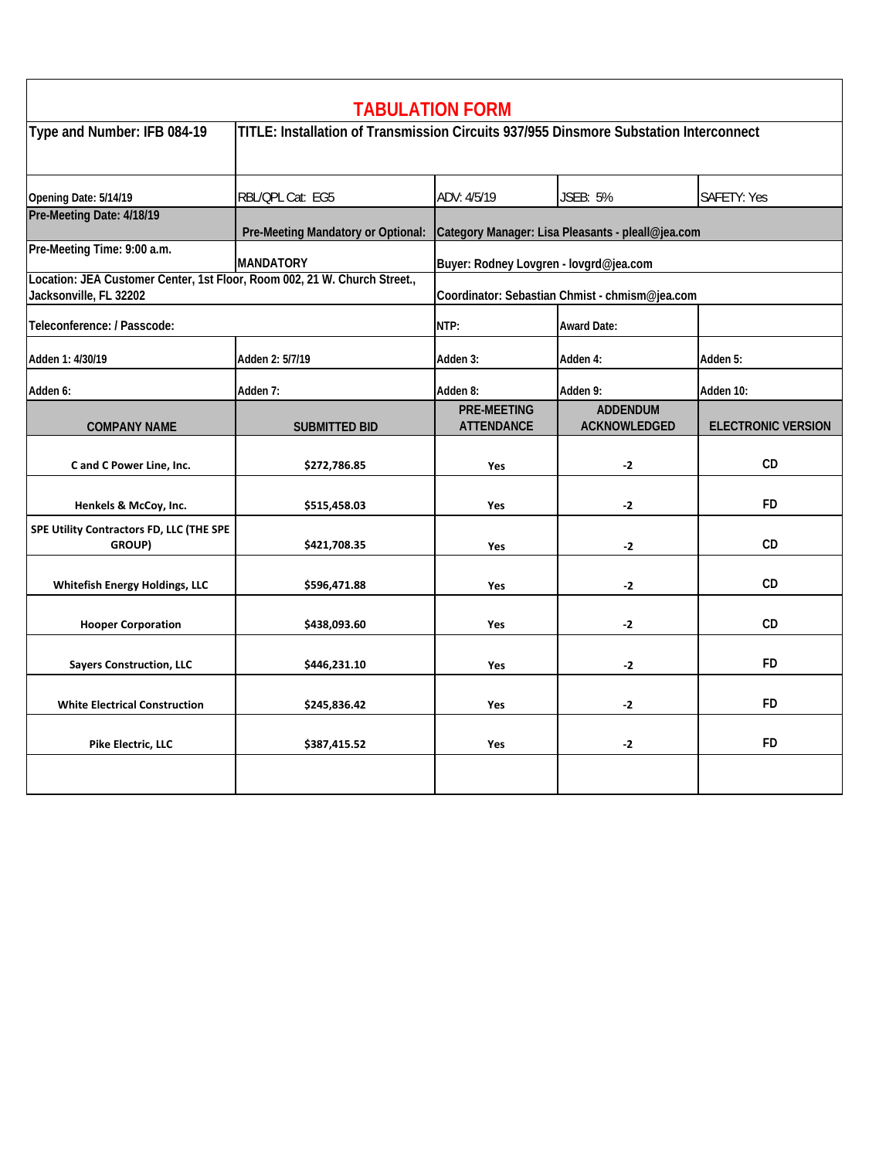|                                                                                                     |                                                                                       | <b>TABULATION FORM</b>                            |                                        |                           |  |
|-----------------------------------------------------------------------------------------------------|---------------------------------------------------------------------------------------|---------------------------------------------------|----------------------------------------|---------------------------|--|
| Type and Number: IFB 084-19                                                                         | TITLE: Installation of Transmission Circuits 937/955 Dinsmore Substation Interconnect |                                                   |                                        |                           |  |
| Opening Date: 5/14/19                                                                               | RBL/QPL Cat: EG5                                                                      | ADV: 4/5/19                                       | <b>JSEB: 5%</b>                        | SAFETY: Yes               |  |
| Pre-Meeting Date: 4/18/19                                                                           | Pre-Meeting Mandatory or Optional:                                                    | Category Manager: Lisa Pleasants - pleall@jea.com |                                        |                           |  |
| Pre-Meeting Time: 9:00 a.m.                                                                         | <b>MANDATORY</b>                                                                      | Buyer: Rodney Lovgren - lovgrd@jea.com            |                                        |                           |  |
| Location: JEA Customer Center, 1st Floor, Room 002, 21 W. Church Street.,<br>Jacksonville, FL 32202 |                                                                                       | Coordinator: Sebastian Chmist - chmism@jea.com    |                                        |                           |  |
| Teleconference: / Passcode:                                                                         |                                                                                       | NTP:                                              | <b>Award Date:</b>                     |                           |  |
| Adden 1: 4/30/19                                                                                    | Adden 2: 5/7/19                                                                       | Adden 3:                                          | Adden 4:                               | Adden 5:                  |  |
| Adden 6:                                                                                            | Adden 7:                                                                              | Adden 8:                                          | Adden 9:                               | Adden 10:                 |  |
| <b>COMPANY NAME</b>                                                                                 | <b>SUBMITTED BID</b>                                                                  | <b>PRE-MEETING</b><br><b>ATTENDANCE</b>           | <b>ADDENDUM</b><br><b>ACKNOWLEDGED</b> | <b>ELECTRONIC VERSION</b> |  |
| C and C Power Line, Inc.                                                                            | \$272,786.85                                                                          | Yes                                               | $-2$                                   | <b>CD</b>                 |  |
| Henkels & McCoy, Inc.                                                                               | \$515,458.03                                                                          | Yes                                               | $-2$                                   | <b>FD</b>                 |  |
| SPE Utility Contractors FD, LLC (THE SPE<br>GROUP)                                                  | \$421,708.35                                                                          | Yes                                               | $-2$                                   | CD                        |  |
| <b>Whitefish Energy Holdings, LLC</b>                                                               | \$596,471.88                                                                          | Yes                                               | $-2$                                   | CD                        |  |
| <b>Hooper Corporation</b>                                                                           | \$438,093.60                                                                          | Yes                                               | $-2$                                   | CD                        |  |
| <b>Sayers Construction, LLC</b>                                                                     | \$446,231.10                                                                          | Yes                                               | $-2$                                   | <b>FD</b>                 |  |
| <b>White Electrical Construction</b>                                                                | \$245,836.42                                                                          | Yes                                               | $-2$                                   | <b>FD</b>                 |  |
| Pike Electric, LLC                                                                                  | \$387,415.52                                                                          | Yes                                               | $-2$                                   | FD                        |  |
|                                                                                                     |                                                                                       |                                                   |                                        |                           |  |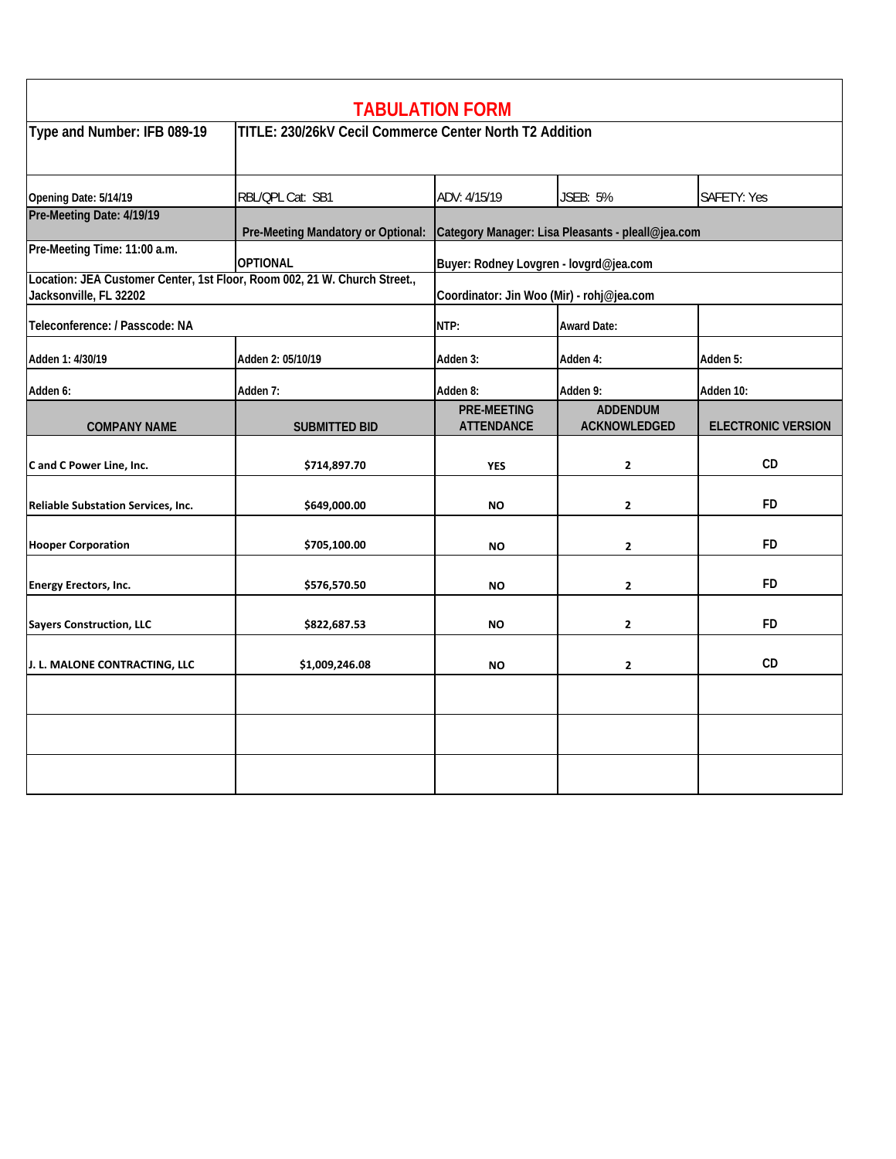|                                                                                                     |                                    | <b>TABULATION FORM</b>                                  |                                 |                           |  |
|-----------------------------------------------------------------------------------------------------|------------------------------------|---------------------------------------------------------|---------------------------------|---------------------------|--|
| Type and Number: IFB 089-19                                                                         |                                    | TITLE: 230/26kV Cecil Commerce Center North T2 Addition |                                 |                           |  |
| Opening Date: 5/14/19                                                                               | RBL/QPL Cat: SB1                   | ADV: 4/15/19                                            | <b>JSEB: 5%</b>                 | SAFETY: Yes               |  |
| Pre-Meeting Date: 4/19/19                                                                           | Pre-Meeting Mandatory or Optional: | Category Manager: Lisa Pleasants - pleall@jea.com       |                                 |                           |  |
| Pre-Meeting Time: 11:00 a.m.                                                                        | <b>OPTIONAL</b>                    | Buyer: Rodney Lovgren - lovgrd@jea.com                  |                                 |                           |  |
| Location: JEA Customer Center, 1st Floor, Room 002, 21 W. Church Street.,<br>Jacksonville, FL 32202 |                                    | Coordinator: Jin Woo (Mir) - rohj@jea.com               |                                 |                           |  |
| Teleconference: / Passcode: NA                                                                      |                                    | NTP:                                                    | <b>Award Date:</b>              |                           |  |
| Adden 1: 4/30/19                                                                                    | Adden 2: 05/10/19                  | Adden 3:                                                | Adden 4:                        | Adden 5:                  |  |
| Adden 6:                                                                                            | Adden 7:                           | Adden 8:                                                | Adden 9:                        | Adden 10:                 |  |
| <b>COMPANY NAME</b>                                                                                 | <b>SUBMITTED BID</b>               | <b>PRE-MEETING</b><br><b>ATTENDANCE</b>                 | <b>ADDENDUM</b><br>ACKNOWLEDGED | <b>ELECTRONIC VERSION</b> |  |
| C and C Power Line, Inc.                                                                            | \$714,897.70                       | <b>YES</b>                                              | $\overline{2}$                  | CD                        |  |
| <b>Reliable Substation Services, Inc.</b>                                                           | \$649,000.00                       | <b>NO</b>                                               | $\mathbf{z}$                    | <b>FD</b>                 |  |
| <b>Hooper Corporation</b>                                                                           | \$705,100.00                       | <b>NO</b>                                               | $\mathbf{2}$                    | <b>FD</b>                 |  |
| <b>Energy Erectors, Inc.</b>                                                                        | \$576,570.50                       | <b>NO</b>                                               | $\mathbf{2}$                    | <b>FD</b>                 |  |
| <b>Sayers Construction, LLC</b>                                                                     | \$822,687.53                       | <b>NO</b>                                               | $\overline{2}$                  | <b>FD</b>                 |  |
| J. L. MALONE CONTRACTING, LLC                                                                       | \$1,009,246.08                     | <b>NO</b>                                               | $\mathbf{2}$                    | <b>CD</b>                 |  |
|                                                                                                     |                                    |                                                         |                                 |                           |  |
|                                                                                                     |                                    |                                                         |                                 |                           |  |
|                                                                                                     |                                    |                                                         |                                 |                           |  |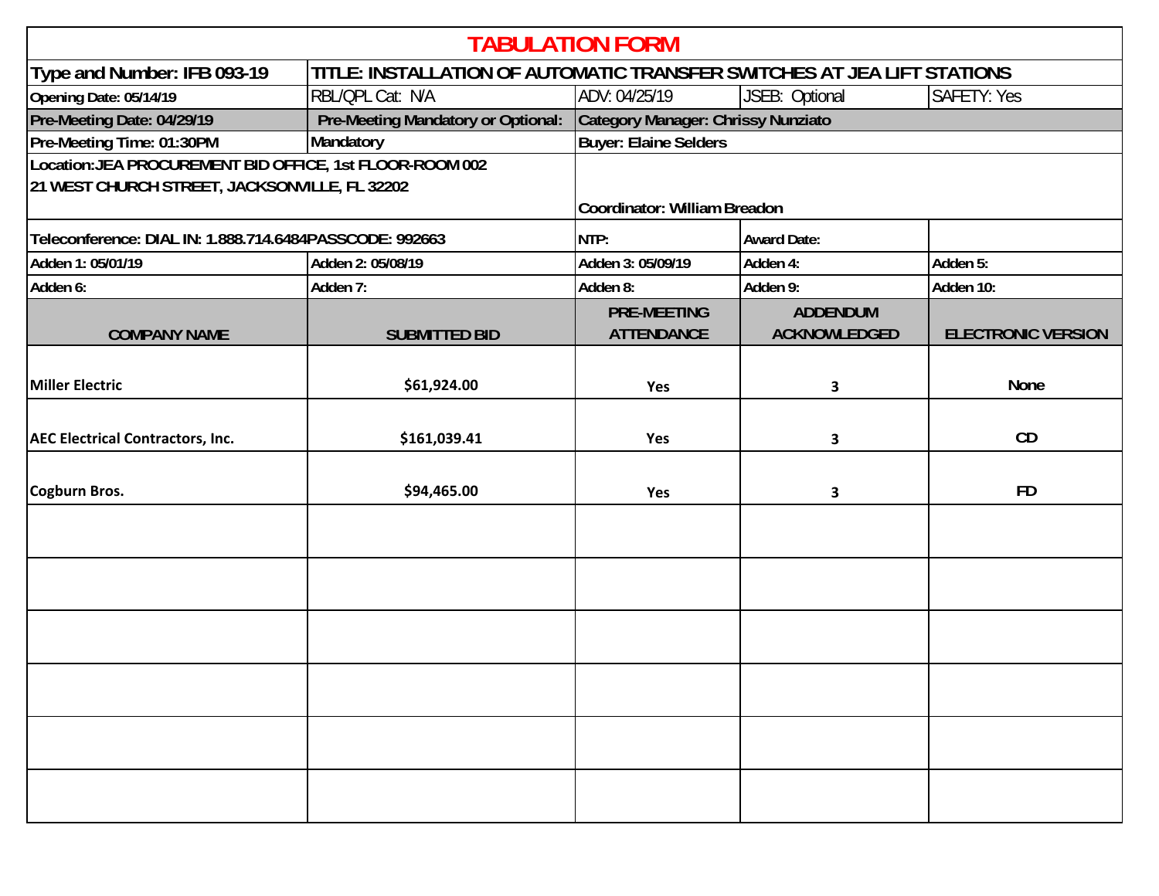| <b>TABULATION FORM</b>                                                                                    |                                    |                                         |                                        |                           |
|-----------------------------------------------------------------------------------------------------------|------------------------------------|-----------------------------------------|----------------------------------------|---------------------------|
| TITLE: INSTALLATION OF AUTOMATIC TRANSFER SWITCHES AT JEA LIFT STATIONS<br>Type and Number: IFB 093-19    |                                    |                                         |                                        |                           |
| Opening Date: 05/14/19                                                                                    | RBL/QPL Cat: N/A                   | ADV: 04/25/19                           | JSEB: Optional                         | <b>SAFETY: Yes</b>        |
| Pre-Meeting Date: 04/29/19                                                                                | Pre-Meeting Mandatory or Optional: | Category Manager: Chrissy Nunziato      |                                        |                           |
| Pre-Meeting Time: 01:30PM                                                                                 | Mandatory                          | <b>Buyer: Elaine Selders</b>            |                                        |                           |
| Location: JEA PROCUREMENT BID OFFICE, 1st FLOOR-ROOM 002<br>21 WEST CHURCH STREET, JACKSONVILLE, FL 32202 |                                    | Coordinator: William Breadon            |                                        |                           |
| Teleconference: DIAL IN: 1.888.714.6484PASSCODE: 992663                                                   |                                    | NTP:                                    | <b>Award Date:</b>                     |                           |
| Adden 1: 05/01/19                                                                                         | Adden 2: 05/08/19                  | Adden 3: 05/09/19                       | Adden 4:                               | Adden 5:                  |
| Adden 6:                                                                                                  | Adden 7:                           | Adden 8:                                | Adden 9:                               | Adden 10:                 |
| <b>COMPANY NAME</b>                                                                                       | <b>SUBMITTED BID</b>               | <b>PRE-MEETING</b><br><b>ATTENDANCE</b> | <b>ADDENDUM</b><br><b>ACKNOWLEDGED</b> | <b>ELECTRONIC VERSION</b> |
| Miller Electric                                                                                           | \$61,924.00                        | Yes                                     | 3                                      | <b>None</b>               |
| <b>AEC Electrical Contractors, Inc.</b>                                                                   | \$161,039.41                       | Yes                                     | 3                                      | CD                        |
| Cogburn Bros.                                                                                             | \$94,465.00                        | Yes                                     | 3                                      | <b>FD</b>                 |
|                                                                                                           |                                    |                                         |                                        |                           |
|                                                                                                           |                                    |                                         |                                        |                           |
|                                                                                                           |                                    |                                         |                                        |                           |
|                                                                                                           |                                    |                                         |                                        |                           |
|                                                                                                           |                                    |                                         |                                        |                           |
|                                                                                                           |                                    |                                         |                                        |                           |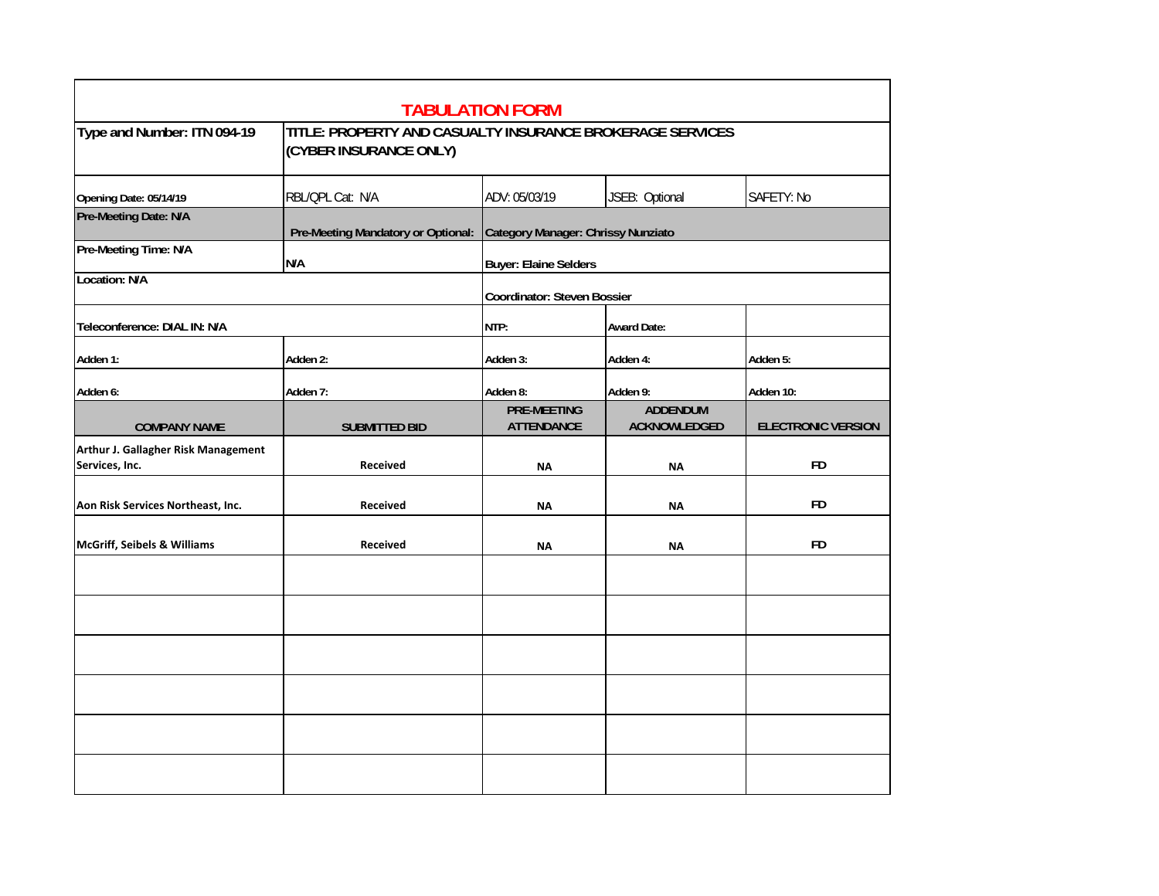|                                                       |                                                                                     | <b>TABULATION FORM</b>                  |                                        |                           |
|-------------------------------------------------------|-------------------------------------------------------------------------------------|-----------------------------------------|----------------------------------------|---------------------------|
| Type and Number: ITN 094-19                           | TITLE: PROPERTY AND CASUALTY INSURANCE BROKERAGE SERVICES<br>(CYBER INSURANCE ONLY) |                                         |                                        |                           |
| Opening Date: 05/14/19                                | RBL/QPL Cat: N/A                                                                    | ADV: 05/03/19                           | JSEB: Optional                         | SAFETY: No                |
| Pre-Meeting Date: N/A                                 | Pre-Meeting Mandatory or Optional:                                                  | Category Manager: Chrissy Nunziato      |                                        |                           |
| Pre-Meeting Time: N/A                                 | N/A                                                                                 | Buyer: Elaine Selders                   |                                        |                           |
| <b>Location: N/A</b>                                  |                                                                                     | Coordinator: Steven Bossier             |                                        |                           |
| Teleconference: DIAL IN: N/A                          |                                                                                     | NTP:                                    | <b>Award Date:</b>                     |                           |
| Adden 1:                                              | Adden 2:                                                                            | Adden 3:                                | Adden 4:                               | Adden 5:                  |
| Adden 6:                                              | Adden 7:                                                                            | Adden 8:                                | Adden 9:                               | Adden 10:                 |
| <b>COMPANY NAME</b>                                   | <b>SUBMITTED BID</b>                                                                | <b>PRE-MEETING</b><br><b>ATTENDANCE</b> | <b>ADDENDUM</b><br><b>ACKNOWLEDGED</b> | <b>ELECTRONIC VERSION</b> |
| Arthur J. Gallagher Risk Management<br>Services, Inc. | <b>Received</b>                                                                     | <b>NA</b>                               | <b>NA</b>                              | <b>FD</b>                 |
| Aon Risk Services Northeast, Inc.                     | Received                                                                            | <b>NA</b>                               | <b>NA</b>                              | <b>FD</b>                 |
| <b>McGriff, Seibels &amp; Williams</b>                | <b>Received</b>                                                                     | <b>NA</b>                               | <b>NA</b>                              | <b>FD</b>                 |
|                                                       |                                                                                     |                                         |                                        |                           |
|                                                       |                                                                                     |                                         |                                        |                           |
|                                                       |                                                                                     |                                         |                                        |                           |
|                                                       |                                                                                     |                                         |                                        |                           |
|                                                       |                                                                                     |                                         |                                        |                           |
|                                                       |                                                                                     |                                         |                                        |                           |